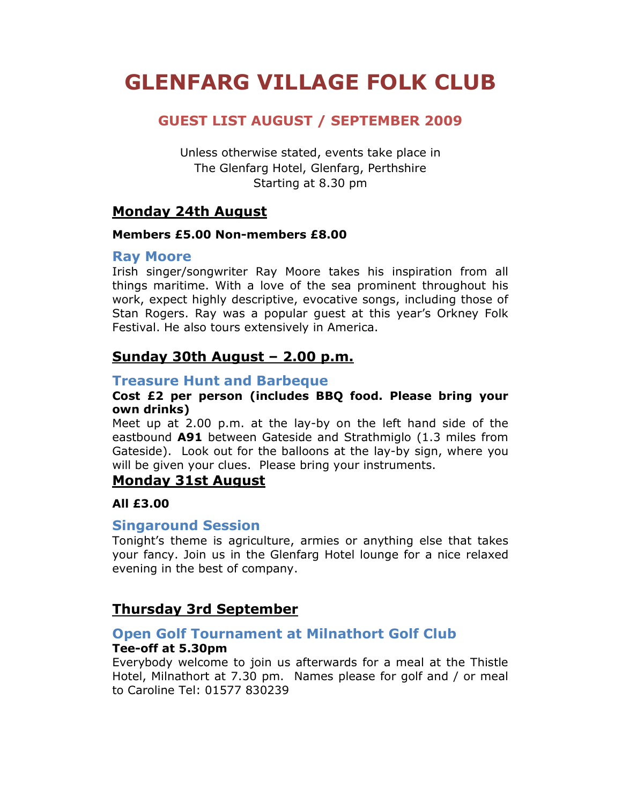# GLENFARG VILLAGE FOLK CLUB

## GUEST LIST AUGUST / SEPTEMBER 2009

Unless otherwise stated, events take place in The Glenfarg Hotel, Glenfarg, Perthshire Starting at 8.30 pm

## Monday 24th August

#### Members £5.00 Non-members £8.00

#### Ray Moore

Irish singer/songwriter Ray Moore takes his inspiration from all things maritime. With a love of the sea prominent throughout his work, expect highly descriptive, evocative songs, including those of Stan Rogers. Ray was a popular guest at this year's Orkney Folk Festival. He also tours extensively in America.

## Sunday 30th August – 2.00 p.m.

## Treasure Hunt and Barbeque

#### Cost £2 per person (includes BBQ food. Please bring your own drinks)

Meet up at 2.00 p.m. at the lay-by on the left hand side of the eastbound A91 between Gateside and Strathmiglo (1.3 miles from Gateside). Look out for the balloons at the lay-by sign, where you will be given your clues. Please bring your instruments.

## Monday 31st August

#### All £3.00

## Singaround Session

Tonight's theme is agriculture, armies or anything else that takes your fancy. Join us in the Glenfarg Hotel lounge for a nice relaxed evening in the best of company.

## Thursday 3rd September

#### Open Golf Tournament at Milnathort Golf Club Tee-off at 5.30pm

Everybody welcome to join us afterwards for a meal at the Thistle Hotel, Milnathort at 7.30 pm. Names please for golf and / or meal to Caroline Tel: 01577 830239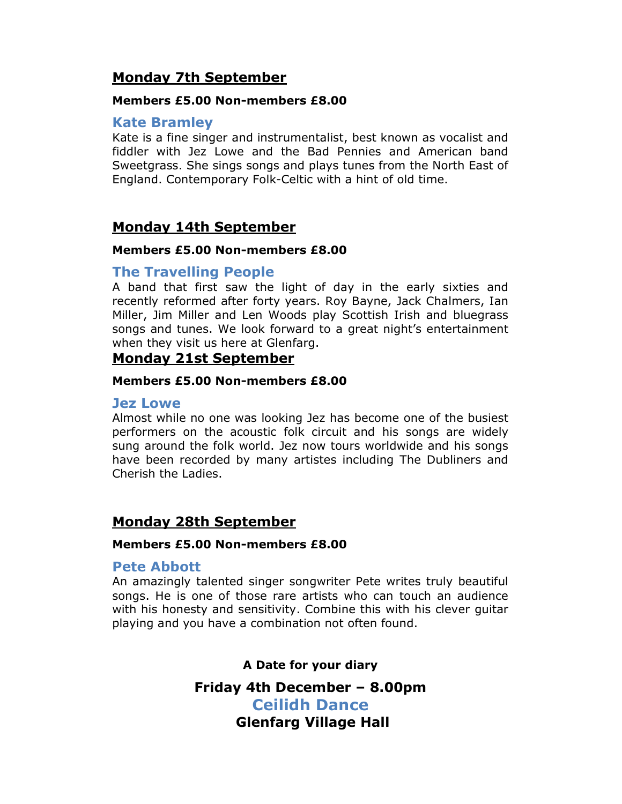## Monday 7th September

#### Members £5.00 Non-members £8.00

#### Kate Bramley

Kate is a fine singer and instrumentalist, best known as vocalist and fiddler with Jez Lowe and the Bad Pennies and American band Sweetgrass. She sings songs and plays tunes from the North East of England. Contemporary Folk-Celtic with a hint of old time.

## Monday 14th September

#### Members £5.00 Non-members £8.00

## The Travelling People

A band that first saw the light of day in the early sixties and recently reformed after forty years. Roy Bayne, Jack Chalmers, Ian Miller, Jim Miller and Len Woods play Scottish Irish and bluegrass songs and tunes. We look forward to a great night's entertainment when they visit us here at Glenfarg.

## Monday 21st September

#### Members £5.00 Non-members £8.00

#### Jez Lowe

Almost while no one was looking Jez has become one of the busiest performers on the acoustic folk circuit and his songs are widely sung around the folk world. Jez now tours worldwide and his songs have been recorded by many artistes including The Dubliners and Cherish the Ladies.

## Monday 28th September

#### Members £5.00 Non-members £8.00

#### Pete Abbott

An amazingly talented singer songwriter Pete writes truly beautiful songs. He is one of those rare artists who can touch an audience with his honesty and sensitivity. Combine this with his clever guitar playing and you have a combination not often found.

A Date for your diary

Friday 4th December – 8.00pm Ceilidh Dance

Glenfarg Village Hall